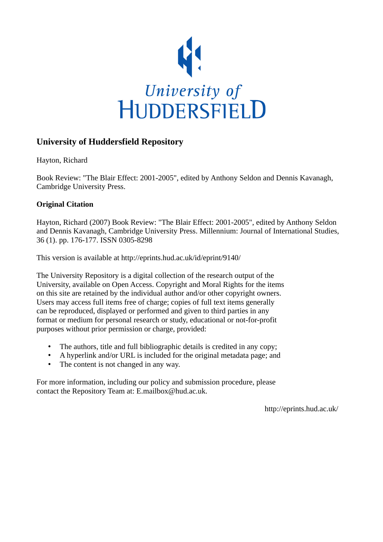

## **University of Huddersfield Repository**

Hayton, Richard

Book Review: "The Blair Effect: 2001-2005", edited by Anthony Seldon and Dennis Kavanagh, Cambridge University Press.

## **Original Citation**

Hayton, Richard (2007) Book Review: "The Blair Effect: 2001-2005", edited by Anthony Seldon and Dennis Kavanagh, Cambridge University Press. Millennium: Journal of International Studies, 36 (1). pp. 176-177. ISSN 0305-8298

This version is available at http://eprints.hud.ac.uk/id/eprint/9140/

The University Repository is a digital collection of the research output of the University, available on Open Access. Copyright and Moral Rights for the items on this site are retained by the individual author and/or other copyright owners. Users may access full items free of charge; copies of full text items generally can be reproduced, displayed or performed and given to third parties in any format or medium for personal research or study, educational or not-for-profit purposes without prior permission or charge, provided:

- The authors, title and full bibliographic details is credited in any copy;
- A hyperlink and/or URL is included for the original metadata page; and
- The content is not changed in any way.

For more information, including our policy and submission procedure, please contact the Repository Team at: E.mailbox@hud.ac.uk.

http://eprints.hud.ac.uk/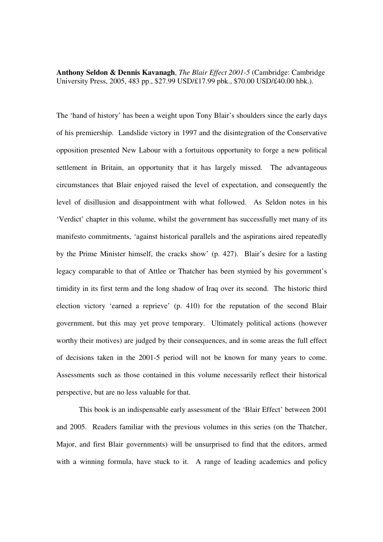**Anthony Seldon & Dennis Kavanagh**, *The Blair Effect 2001-5* (Cambridge: Cambridge University Press, 2005, 483 pp., \$27.99 USD/£17.99 pbk., \$70.00 USD/£40.00 hbk.).

The 'hand of history' has been a weight upon Tony Blair's shoulders since the early days of his premiership. Landslide victory in 1997 and the disintegration of the Conservative opposition presented New Labour with a fortuitous opportunity to forge a new political settlement in Britain, an opportunity that it has largely missed. The advantageous circumstances that Blair enjoyed raised the level of expectation, and consequently the level of disillusion and disappointment with what followed. As Seldon notes in his 'Verdict' chapter in this volume, whilst the government has successfully met many of its manifesto commitments, 'against historical parallels and the aspirations aired repeatedly by the Prime Minister himself, the cracks show' (p. 427). Blair's desire for a lasting legacy comparable to that of Attlee or Thatcher has been stymied by his government's timidity in its first term and the long shadow of Iraq over its second. The historic third election victory 'earned a reprieve' (p. 410) for the reputation of the second Blair government, but this may yet prove temporary. Ultimately political actions (however worthy their motives) are judged by their consequences, and in some areas the full effect of decisions taken in the 2001-5 period will not be known for many years to come. Assessments such as those contained in this volume necessarily reflect their historical perspective, but are no less valuable for that.

This book is an indispensable early assessment of the 'Blair Effect' between 2001 and 2005. Readers familiar with the previous volumes in this series (on the Thatcher, Major, and first Blair governments) will be unsurprised to find that the editors, armed with a winning formula, have stuck to it. A range of leading academics and policy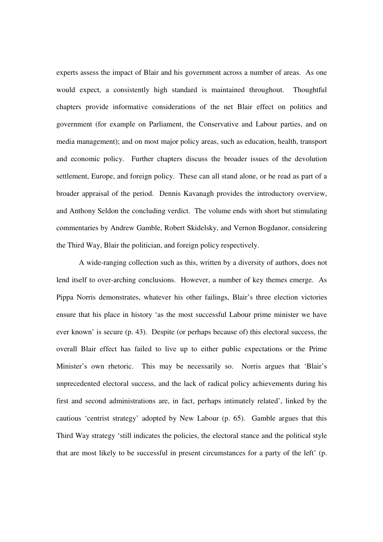experts assess the impact of Blair and his government across a number of areas. As one would expect, a consistently high standard is maintained throughout. Thoughtful chapters provide informative considerations of the net Blair effect on politics and government (for example on Parliament, the Conservative and Labour parties, and on media management); and on most major policy areas, such as education, health, transport and economic policy. Further chapters discuss the broader issues of the devolution settlement, Europe, and foreign policy. These can all stand alone, or be read as part of a broader appraisal of the period. Dennis Kavanagh provides the introductory overview, and Anthony Seldon the concluding verdict. The volume ends with short but stimulating commentaries by Andrew Gamble, Robert Skidelsky, and Vernon Bogdanor, considering the Third Way, Blair the politician, and foreign policy respectively.

A wide-ranging collection such as this, written by a diversity of authors, does not lend itself to over-arching conclusions. However, a number of key themes emerge. As Pippa Norris demonstrates, whatever his other failings, Blair's three election victories ensure that his place in history 'as the most successful Labour prime minister we have ever known' is secure (p. 43). Despite (or perhaps because of) this electoral success, the overall Blair effect has failed to live up to either public expectations or the Prime Minister's own rhetoric. This may be necessarily so. Norris argues that 'Blair's unprecedented electoral success, and the lack of radical policy achievements during his first and second administrations are, in fact, perhaps intimately related', linked by the cautious 'centrist strategy' adopted by New Labour (p. 65). Gamble argues that this Third Way strategy 'still indicates the policies, the electoral stance and the political style that are most likely to be successful in present circumstances for a party of the left' (p.